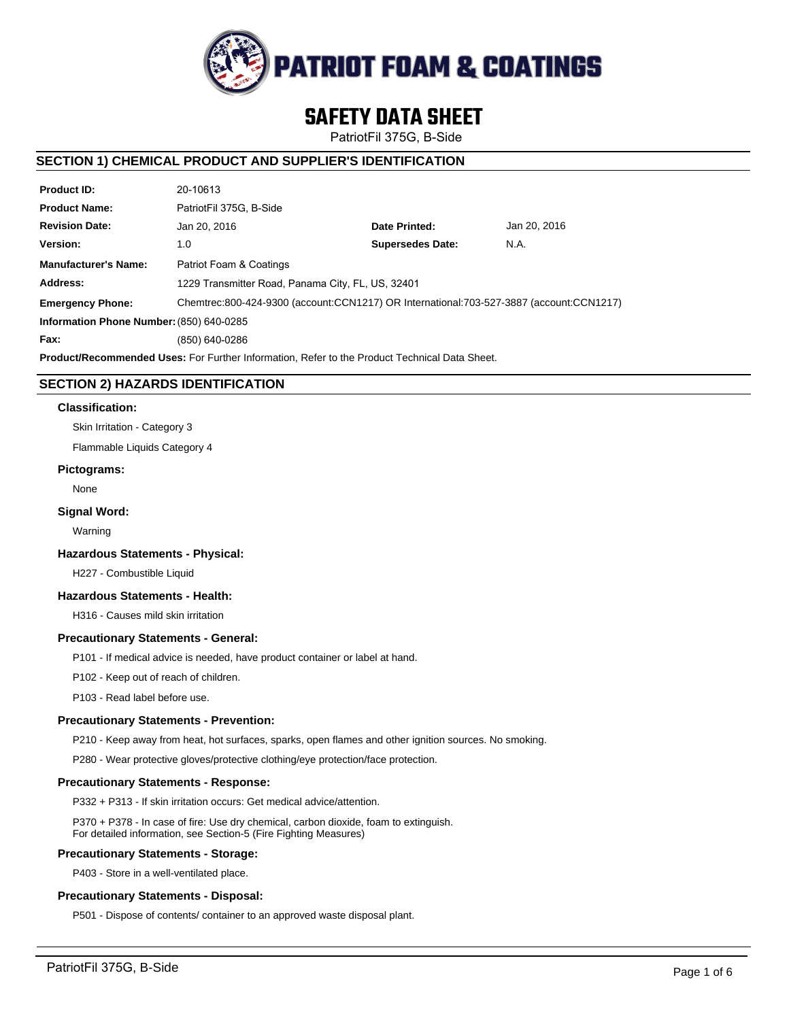

# **SAFETY DATA SHEET**

PatriotFil 375G, B-Side

# **SECTION 1) CHEMICAL PRODUCT AND SUPPLIER'S IDENTIFICATION**

| <b>Product ID:</b>                                                                                   | 20-10613                                                                                |                         |              |  |  |
|------------------------------------------------------------------------------------------------------|-----------------------------------------------------------------------------------------|-------------------------|--------------|--|--|
| <b>Product Name:</b>                                                                                 | PatriotFil 375G. B-Side                                                                 |                         |              |  |  |
| <b>Revision Date:</b>                                                                                | Jan 20, 2016                                                                            | Date Printed:           | Jan 20, 2016 |  |  |
| Version:                                                                                             | 1.0                                                                                     | <b>Supersedes Date:</b> | N.A.         |  |  |
| <b>Manufacturer's Name:</b>                                                                          | Patriot Foam & Coatings                                                                 |                         |              |  |  |
| Address:                                                                                             | 1229 Transmitter Road, Panama City, FL, US, 32401                                       |                         |              |  |  |
| <b>Emergency Phone:</b>                                                                              | Chemtrec:800-424-9300 (account:CCN1217) OR International:703-527-3887 (account:CCN1217) |                         |              |  |  |
| Information Phone Number: (850) 640-0285                                                             |                                                                                         |                         |              |  |  |
| Fax:                                                                                                 | (850) 640-0286                                                                          |                         |              |  |  |
| <b>Product/Recommended Uses:</b> For Further Information, Refer to the Product Technical Data Sheet. |                                                                                         |                         |              |  |  |

# **SECTION 2) HAZARDS IDENTIFICATION**

#### **Classification:**

Skin Irritation - Category 3

Flammable Liquids Category 4

#### **Pictograms:**

None

## **Signal Word:**

Warning

#### **Hazardous Statements - Physical:**

H227 - Combustible Liquid

# **Hazardous Statements - Health:**

H316 - Causes mild skin irritation

## **Precautionary Statements - General:**

P101 - If medical advice is needed, have product container or label at hand.

P102 - Keep out of reach of children.

P103 - Read label before use.

## **Precautionary Statements - Prevention:**

P210 - Keep away from heat, hot surfaces, sparks, open flames and other ignition sources. No smoking.

P280 - Wear protective gloves/protective clothing/eye protection/face protection.

## **Precautionary Statements - Response:**

P332 + P313 - If skin irritation occurs: Get medical advice/attention.

P370 + P378 - In case of fire: Use dry chemical, carbon dioxide, foam to extinguish. For detailed information, see Section-5 (Fire Fighting Measures)

## **Precautionary Statements - Storage:**

P403 - Store in a well-ventilated place.

## **Precautionary Statements - Disposal:**

P501 - Dispose of contents/ container to an approved waste disposal plant.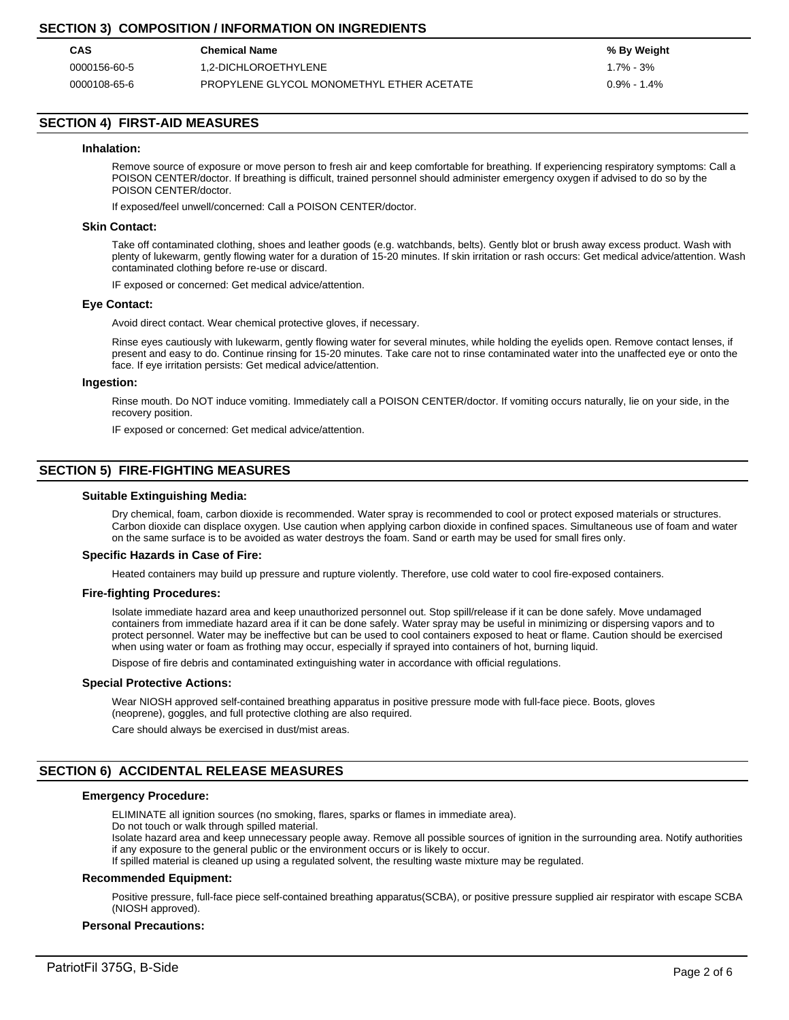# **SECTION 3) COMPOSITION / INFORMATION ON INGREDIENTS**

| CAS          | <b>Chemical Name</b>                      | % By Weight     |
|--------------|-------------------------------------------|-----------------|
| 0000156-60-5 | 1.2-DICHLOROETHYLENE                      | 1.7% - 3%       |
| 0000108-65-6 | PROPYLENE GLYCOL MONOMETHYL ETHER ACETATE | $0.9\% - 1.4\%$ |

# **SECTION 4) FIRST-AID MEASURES**

#### **Inhalation:**

Remove source of exposure or move person to fresh air and keep comfortable for breathing. If experiencing respiratory symptoms: Call a POISON CENTER/doctor. If breathing is difficult, trained personnel should administer emergency oxygen if advised to do so by the POISON CENTER/doctor.

If exposed/feel unwell/concerned: Call a POISON CENTER/doctor.

#### **Skin Contact:**

Take off contaminated clothing, shoes and leather goods (e.g. watchbands, belts). Gently blot or brush away excess product. Wash with plenty of lukewarm, gently flowing water for a duration of 15-20 minutes. If skin irritation or rash occurs: Get medical advice/attention. Wash contaminated clothing before re-use or discard.

IF exposed or concerned: Get medical advice/attention.

#### **Eye Contact:**

Avoid direct contact. Wear chemical protective gloves, if necessary.

Rinse eyes cautiously with lukewarm, gently flowing water for several minutes, while holding the eyelids open. Remove contact lenses, if present and easy to do. Continue rinsing for 15-20 minutes. Take care not to rinse contaminated water into the unaffected eye or onto the face. If eye irritation persists: Get medical advice/attention.

#### **Ingestion:**

Rinse mouth. Do NOT induce vomiting. Immediately call a POISON CENTER/doctor. If vomiting occurs naturally, lie on your side, in the recovery position.

IF exposed or concerned: Get medical advice/attention.

## **SECTION 5) FIRE-FIGHTING MEASURES**

#### **Suitable Extinguishing Media:**

Dry chemical, foam, carbon dioxide is recommended. Water spray is recommended to cool or protect exposed materials or structures. Carbon dioxide can displace oxygen. Use caution when applying carbon dioxide in confined spaces. Simultaneous use of foam and water on the same surface is to be avoided as water destroys the foam. Sand or earth may be used for small fires only.

#### **Specific Hazards in Case of Fire:**

Heated containers may build up pressure and rupture violently. Therefore, use cold water to cool fire-exposed containers.

#### **Fire-fighting Procedures:**

Isolate immediate hazard area and keep unauthorized personnel out. Stop spill/release if it can be done safely. Move undamaged containers from immediate hazard area if it can be done safely. Water spray may be useful in minimizing or dispersing vapors and to protect personnel. Water may be ineffective but can be used to cool containers exposed to heat or flame. Caution should be exercised when using water or foam as frothing may occur, especially if sprayed into containers of hot, burning liquid.

Dispose of fire debris and contaminated extinguishing water in accordance with official regulations.

#### **Special Protective Actions:**

Wear NIOSH approved self-contained breathing apparatus in positive pressure mode with full-face piece. Boots, gloves (neoprene), goggles, and full protective clothing are also required.

Care should always be exercised in dust/mist areas.

## **SECTION 6) ACCIDENTAL RELEASE MEASURES**

#### **Emergency Procedure:**

ELIMINATE all ignition sources (no smoking, flares, sparks or flames in immediate area).

Do not touch or walk through spilled material.

Isolate hazard area and keep unnecessary people away. Remove all possible sources of ignition in the surrounding area. Notify authorities if any exposure to the general public or the environment occurs or is likely to occur.

If spilled material is cleaned up using a regulated solvent, the resulting waste mixture may be regulated.

#### **Recommended Equipment:**

Positive pressure, full-face piece self-contained breathing apparatus(SCBA), or positive pressure supplied air respirator with escape SCBA (NIOSH approved).

#### **Personal Precautions:**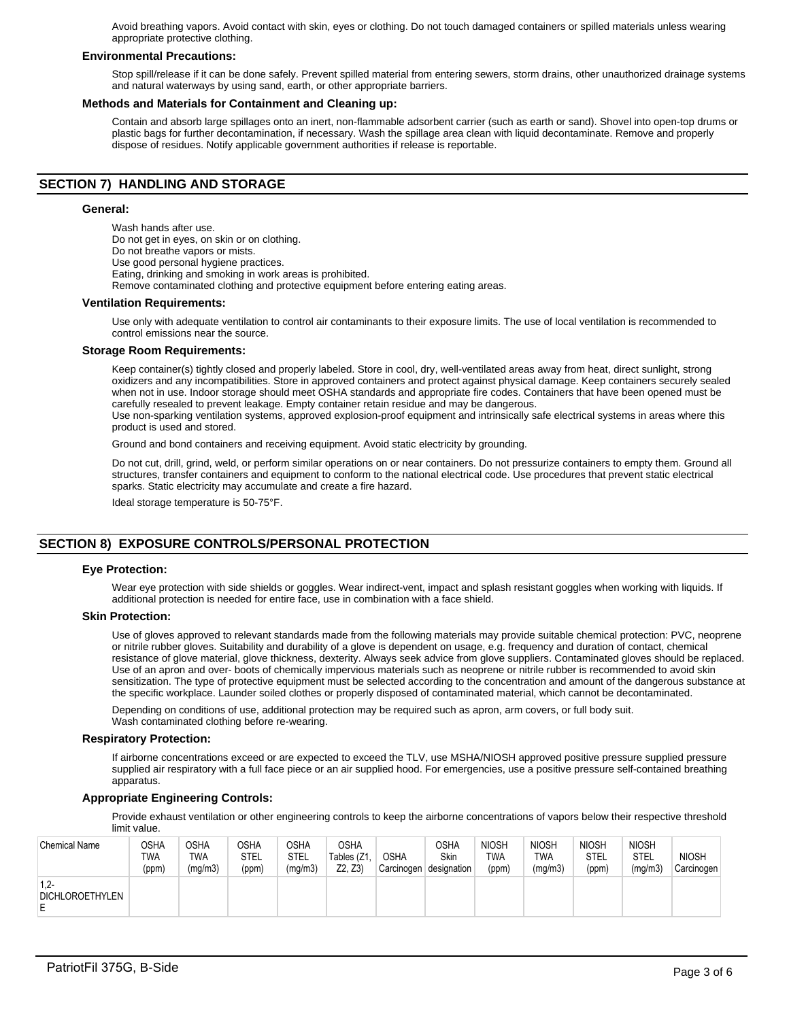Avoid breathing vapors. Avoid contact with skin, eyes or clothing. Do not touch damaged containers or spilled materials unless wearing appropriate protective clothing.

### **Environmental Precautions:**

Stop spill/release if it can be done safely. Prevent spilled material from entering sewers, storm drains, other unauthorized drainage systems and natural waterways by using sand, earth, or other appropriate barriers.

#### **Methods and Materials for Containment and Cleaning up:**

Contain and absorb large spillages onto an inert, non-flammable adsorbent carrier (such as earth or sand). Shovel into open-top drums or plastic bags for further decontamination, if necessary. Wash the spillage area clean with liquid decontaminate. Remove and properly dispose of residues. Notify applicable government authorities if release is reportable.

## **SECTION 7) HANDLING AND STORAGE**

#### **General:**

Wash hands after use. Do not get in eyes, on skin or on clothing. Do not breathe vapors or mists. Use good personal hygiene practices. Eating, drinking and smoking in work areas is prohibited. Remove contaminated clothing and protective equipment before entering eating areas.

#### **Ventilation Requirements:**

Use only with adequate ventilation to control air contaminants to their exposure limits. The use of local ventilation is recommended to control emissions near the source.

#### **Storage Room Requirements:**

Keep container(s) tightly closed and properly labeled. Store in cool, dry, well-ventilated areas away from heat, direct sunlight, strong oxidizers and any incompatibilities. Store in approved containers and protect against physical damage. Keep containers securely sealed when not in use. Indoor storage should meet OSHA standards and appropriate fire codes. Containers that have been opened must be carefully resealed to prevent leakage. Empty container retain residue and may be dangerous.

Use non-sparking ventilation systems, approved explosion-proof equipment and intrinsically safe electrical systems in areas where this product is used and stored.

Ground and bond containers and receiving equipment. Avoid static electricity by grounding.

Do not cut, drill, grind, weld, or perform similar operations on or near containers. Do not pressurize containers to empty them. Ground all structures, transfer containers and equipment to conform to the national electrical code. Use procedures that prevent static electrical sparks. Static electricity may accumulate and create a fire hazard.

Ideal storage temperature is 50-75°F.

# **SECTION 8) EXPOSURE CONTROLS/PERSONAL PROTECTION**

#### **Eye Protection:**

Wear eye protection with side shields or goggles. Wear indirect-vent, impact and splash resistant goggles when working with liquids. If additional protection is needed for entire face, use in combination with a face shield.

#### **Skin Protection:**

Use of gloves approved to relevant standards made from the following materials may provide suitable chemical protection: PVC, neoprene or nitrile rubber gloves. Suitability and durability of a glove is dependent on usage, e.g. frequency and duration of contact, chemical resistance of glove material, glove thickness, dexterity. Always seek advice from glove suppliers. Contaminated gloves should be replaced. Use of an apron and over- boots of chemically impervious materials such as neoprene or nitrile rubber is recommended to avoid skin sensitization. The type of protective equipment must be selected according to the concentration and amount of the dangerous substance at the specific workplace. Launder soiled clothes or properly disposed of contaminated material, which cannot be decontaminated.

Depending on conditions of use, additional protection may be required such as apron, arm covers, or full body suit. Wash contaminated clothing before re-wearing.

#### **Respiratory Protection:**

If airborne concentrations exceed or are expected to exceed the TLV, use MSHA/NIOSH approved positive pressure supplied pressure supplied air respiratory with a full face piece or an air supplied hood. For emergencies, use a positive pressure self-contained breathing apparatus.

#### **Appropriate Engineering Controls:**

Provide exhaust ventilation or other engineering controls to keep the airborne concentrations of vapors below their respective threshold limit value.

| <b>Chemical Name</b>                   | OSHA<br><b>TWA</b><br>(ppm) | <b>OSHA</b><br>TWA<br>(mg/m3) | <b>OSHA</b><br>STEL<br>(ppm) | OSHA<br>STEL<br>(mg/m3) | <b>OSHA</b><br>Tables (Z1,<br>Z2, Z3 | <b>OSHA</b><br>Carcinogen | <b>OSHA</b><br>Skin<br>designation | <b>NIOSH</b><br><b>TWA</b><br>(ppm) | <b>NIOSH</b><br>TWA<br>(mg/m3) | <b>NIOSH</b><br>STEL<br>(ppm) | <b>NIOSH</b><br>STEL<br>(mg/m3) | <b>NIOSH</b><br>Carcinogen |
|----------------------------------------|-----------------------------|-------------------------------|------------------------------|-------------------------|--------------------------------------|---------------------------|------------------------------------|-------------------------------------|--------------------------------|-------------------------------|---------------------------------|----------------------------|
| $1.2 -$<br><b>DICHLOROETHYLEN</b><br>E |                             |                               |                              |                         |                                      |                           |                                    |                                     |                                |                               |                                 |                            |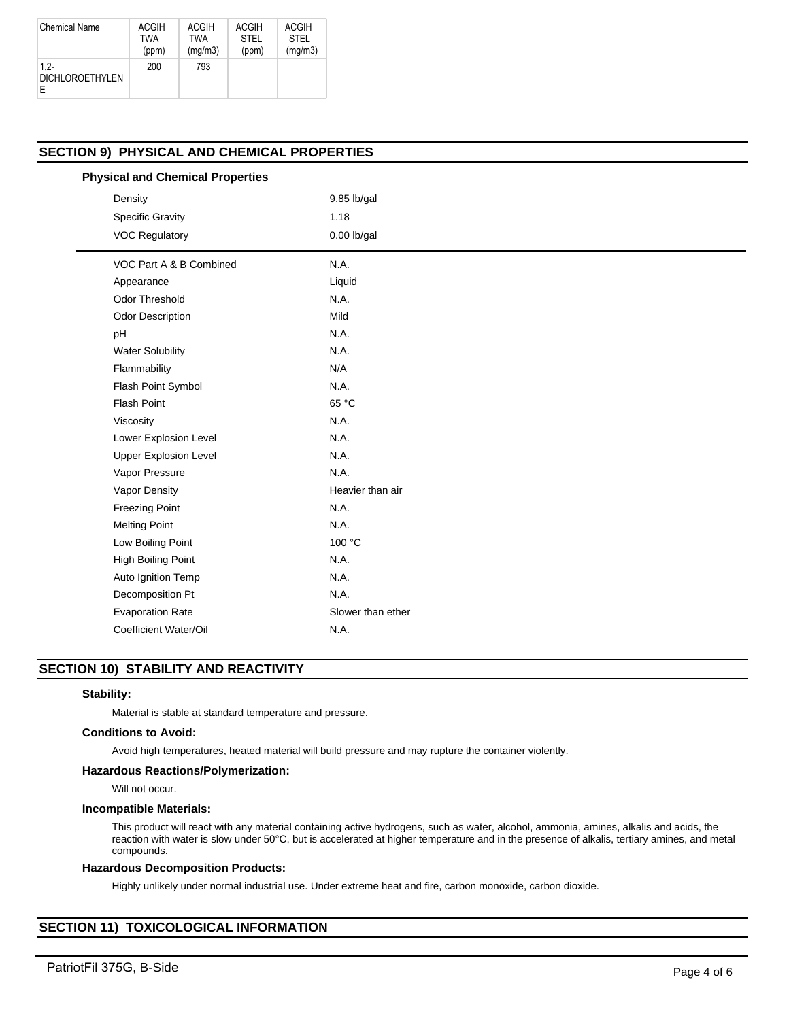| <b>Chemical Name</b>              | <b>ACGIH</b> | ACGIH      | <b>ACGIH</b> | ACGIH       |
|-----------------------------------|--------------|------------|--------------|-------------|
|                                   | TWA          | <b>TWA</b> | <b>STEL</b>  | <b>STEL</b> |
|                                   | (ppm)        | (mq/m3)    | (ppm)        | (mg/m3)     |
| $1.2 -$<br><b>DICHLOROETHYLEN</b> | 200          | 793        |              |             |

# **SECTION 9) PHYSICAL AND CHEMICAL PROPERTIES**

| <b>Physical and Chemical Properties</b> |  |
|-----------------------------------------|--|
|-----------------------------------------|--|

| Density                      | 9.85 lb/gal       |
|------------------------------|-------------------|
| <b>Specific Gravity</b>      | 1.18              |
| <b>VOC Regulatory</b>        | $0.00$ lb/gal     |
| VOC Part A & B Combined      | N.A.              |
| Appearance                   | Liquid            |
| <b>Odor Threshold</b>        | N.A.              |
| <b>Odor Description</b>      | Mild              |
| pH                           | N.A.              |
| <b>Water Solubility</b>      | N.A.              |
| Flammability                 | N/A               |
| Flash Point Symbol           | N.A.              |
| <b>Flash Point</b>           | 65 °C             |
| Viscosity                    | N.A.              |
| Lower Explosion Level        | N.A.              |
| <b>Upper Explosion Level</b> | N.A.              |
| Vapor Pressure               | N.A.              |
| Vapor Density                | Heavier than air  |
| <b>Freezing Point</b>        | N.A.              |
| <b>Melting Point</b>         | N.A.              |
| Low Boiling Point            | 100 °C            |
| High Boiling Point           | N.A.              |
| Auto Ignition Temp           | N.A.              |
| Decomposition Pt             | N.A.              |
| <b>Evaporation Rate</b>      | Slower than ether |
| Coefficient Water/Oil        | N.A.              |

## **SECTION 10) STABILITY AND REACTIVITY**

## **Stability:**

Material is stable at standard temperature and pressure.

#### **Conditions to Avoid:**

Avoid high temperatures, heated material will build pressure and may rupture the container violently.

## **Hazardous Reactions/Polymerization:**

Will not occur.

#### **Incompatible Materials:**

This product will react with any material containing active hydrogens, such as water, alcohol, ammonia, amines, alkalis and acids, the reaction with water is slow under 50°C, but is accelerated at higher temperature and in the presence of alkalis, tertiary amines, and metal compounds.

## **Hazardous Decomposition Products:**

Highly unlikely under normal industrial use. Under extreme heat and fire, carbon monoxide, carbon dioxide.

# **SECTION 11) TOXICOLOGICAL INFORMATION**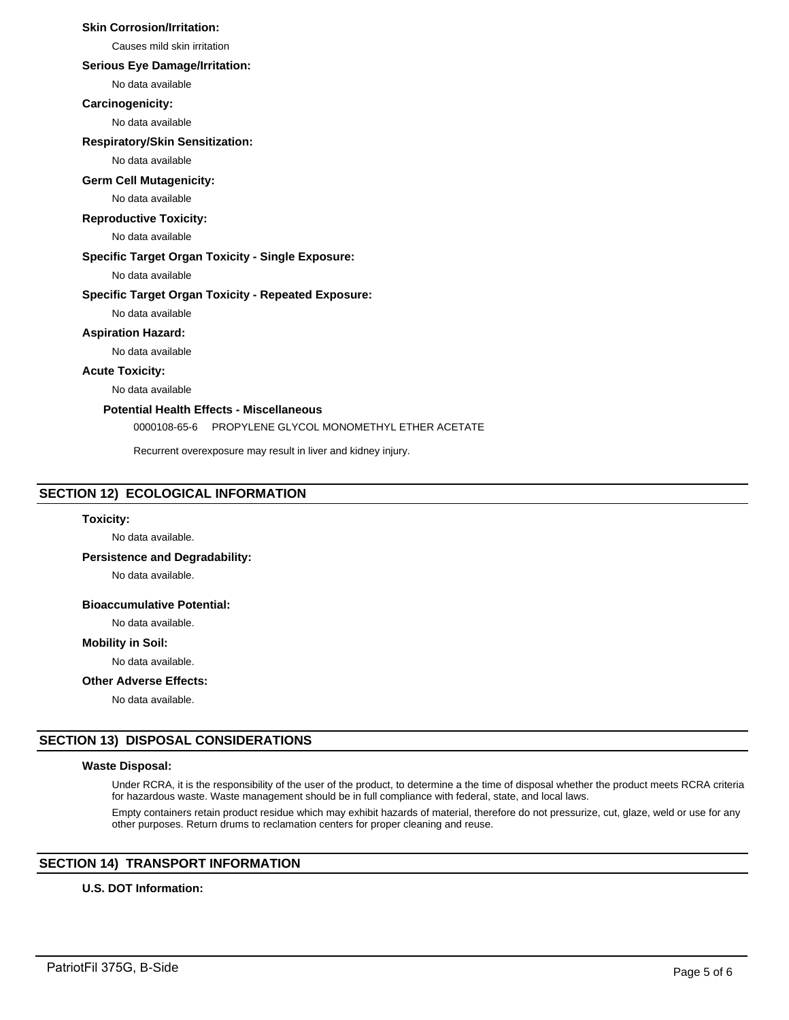## **Skin Corrosion/Irritation:**

Causes mild skin irritation

## **Serious Eye Damage/Irritation:**

No data available

#### **Carcinogenicity:**

No data available

#### **Respiratory/Skin Sensitization:**

No data available

# **Germ Cell Mutagenicity:**

No data available

## **Reproductive Toxicity:**

No data available

## **Specific Target Organ Toxicity - Single Exposure:**

No data available

## **Specific Target Organ Toxicity - Repeated Exposure:**

No data available

## **Aspiration Hazard:**

No data available

## **Acute Toxicity:**

No data available

## **Potential Health Effects - Miscellaneous**

0000108-65-6 PROPYLENE GLYCOL MONOMETHYL ETHER ACETATE

Recurrent overexposure may result in liver and kidney injury.

## **SECTION 12) ECOLOGICAL INFORMATION**

#### **Toxicity:**

No data available.

## **Persistence and Degradability:**

No data available.

## **Bioaccumulative Potential:**

No data available.

#### **Mobility in Soil:**

No data available.

## **Other Adverse Effects:**

No data available.

## **SECTION 13) DISPOSAL CONSIDERATIONS**

## **Waste Disposal:**

Under RCRA, it is the responsibility of the user of the product, to determine a the time of disposal whether the product meets RCRA criteria for hazardous waste. Waste management should be in full compliance with federal, state, and local laws.

Empty containers retain product residue which may exhibit hazards of material, therefore do not pressurize, cut, glaze, weld or use for any other purposes. Return drums to reclamation centers for proper cleaning and reuse.

## **SECTION 14) TRANSPORT INFORMATION**

## **U.S. DOT Information:**